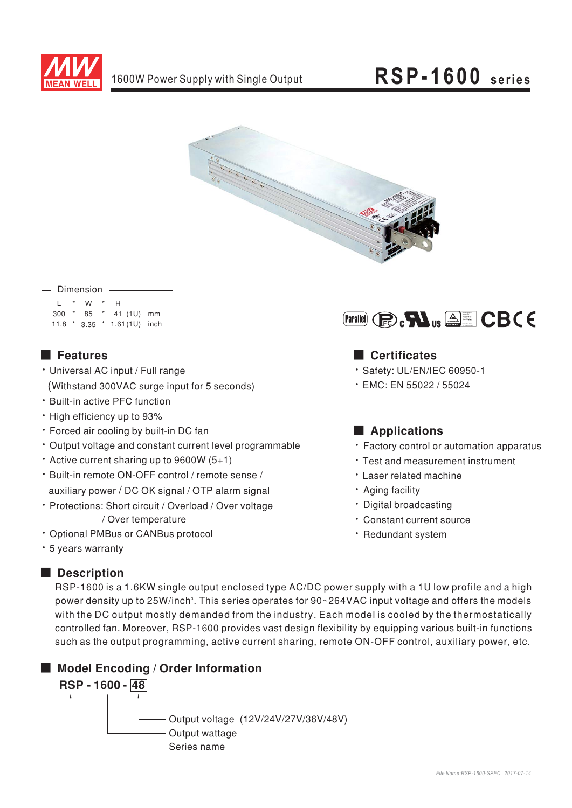

# **RSP-1600** series



|     |         | Dimension |        |                             |  |
|-----|---------|-----------|--------|-----------------------------|--|
|     |         |           |        |                             |  |
|     | $\star$ | W         | $\ast$ | н                           |  |
| 300 | $\star$ | 85 *      |        | 41 (1U) mm                  |  |
|     |         |           |        | 11.8 * 3.35 * 1.61(1U) inch |  |
|     |         |           |        |                             |  |

## **Execution**

- · Universal AC input / Full range (Withstand 300VAC surge input for 5 seconds)
- \* Built-in active PFC function
- . High efficiency up to 93%
- · Forced air cooling by built-in DC fan
- Output voltage and constant current level programmable
- Active current sharing up to 9600W  $(5+1)$
- \* Built-in remote ON-OFF control / remote sense / auxiliary power / DC OK signal / OTP alarm signal
- · Protections: Short circuit / Overload / Over voltage / Over temperature
- · Optional PMBus or CANBus protocol
- \* 5 years warranty

## Description



## Certificates

- · Safety: UL/EN/IEC 60950-1
- EMC: EN 55022 / 55024

## Applications

- Factory control or automation apparatus
- \* Test and measurement instrument
- · Laser related machine
- · Aging facility
- · Digital broadcasting
- · Constant current source
- · Redundant system

RSP-1600 is a 1.6KW single output enclosed type AC/DC power supply with a 1U low profile and a high power density up to 25W/inch<sup>3</sup>. This series operates for 90~264VAC input voltage and offers the models with the DC output mostly demanded from the industry. Each model is cooled by the thermostatically controlled fan. Moreover, RSP-1600 provides vast design flexibility by equipping various built-in functions such as the output programming, active current sharing, remote ON-OFF control, auxiliary power, etc.

## Model Encoding / Order Information RSP - 1600 - 48 Output voltage (12V/24V/27V/36V/48V) Output wattage Series name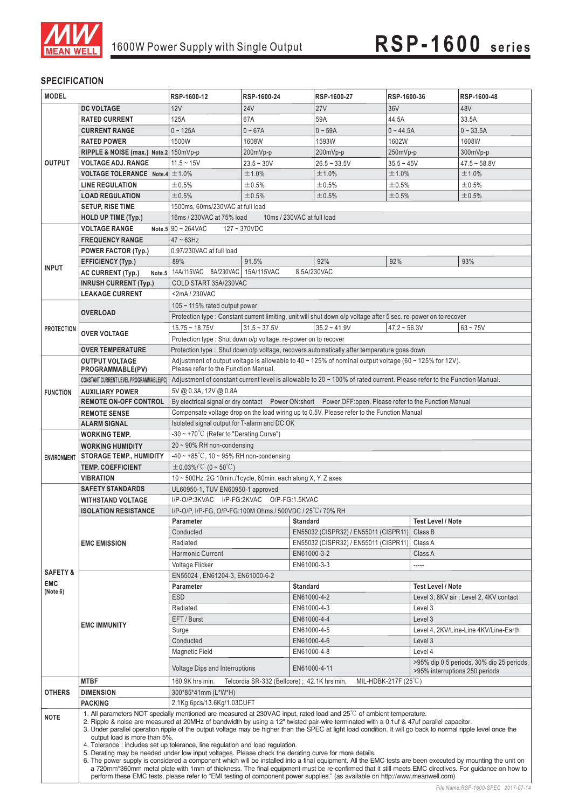

### **SPECIFICATION**

| <b>MODEL</b>        |                                                                                                                                                                                                                                                                                                                                                                                                                                                                                                                                                                                                                                                                                                                                                                                                                                 | RSP-1600-12                                                                                                                                    | RSP-1600-24                                          | RSP-1600-27                                                                                                        | RSP-1600-36                   |                                           | RSP-1600-48                                      |  |  |  |
|---------------------|---------------------------------------------------------------------------------------------------------------------------------------------------------------------------------------------------------------------------------------------------------------------------------------------------------------------------------------------------------------------------------------------------------------------------------------------------------------------------------------------------------------------------------------------------------------------------------------------------------------------------------------------------------------------------------------------------------------------------------------------------------------------------------------------------------------------------------|------------------------------------------------------------------------------------------------------------------------------------------------|------------------------------------------------------|--------------------------------------------------------------------------------------------------------------------|-------------------------------|-------------------------------------------|--------------------------------------------------|--|--|--|
|                     | <b>DC VOLTAGE</b>                                                                                                                                                                                                                                                                                                                                                                                                                                                                                                                                                                                                                                                                                                                                                                                                               | 12V                                                                                                                                            | 24 <sub>V</sub>                                      | <b>27V</b>                                                                                                         | 36V                           |                                           | 48V                                              |  |  |  |
|                     | <b>RATED CURRENT</b>                                                                                                                                                                                                                                                                                                                                                                                                                                                                                                                                                                                                                                                                                                                                                                                                            | 125A                                                                                                                                           | 67A                                                  | 59A                                                                                                                | 44.5A                         |                                           | 33.5A                                            |  |  |  |
|                     | <b>CURRENT RANGE</b>                                                                                                                                                                                                                                                                                                                                                                                                                                                                                                                                                                                                                                                                                                                                                                                                            | $0 - 125A$                                                                                                                                     | $0 - 67A$                                            | $0 - 59A$                                                                                                          | $0 - 44.5A$                   |                                           | $0 - 33.5A$                                      |  |  |  |
|                     | <b>RATED POWER</b>                                                                                                                                                                                                                                                                                                                                                                                                                                                                                                                                                                                                                                                                                                                                                                                                              | 1500W                                                                                                                                          | 1608W                                                | 1593W                                                                                                              | 1602W                         |                                           | 1608W                                            |  |  |  |
|                     | RIPPLE & NOISE (max.) Note.2 150mVp-p                                                                                                                                                                                                                                                                                                                                                                                                                                                                                                                                                                                                                                                                                                                                                                                           |                                                                                                                                                | 200mVp-p                                             | 200mVp-p                                                                                                           | 250mVp-p                      |                                           | 300mVp-p                                         |  |  |  |
| <b>OUTPUT</b>       | <b>VOLTAGE ADJ. RANGE</b>                                                                                                                                                                                                                                                                                                                                                                                                                                                                                                                                                                                                                                                                                                                                                                                                       | $11.5 - 15V$                                                                                                                                   | $23.5 - 30V$                                         | $26.5 - 33.5V$                                                                                                     | $35.5 - 45V$                  |                                           | $47.5 - 58.8V$                                   |  |  |  |
|                     | <b>VOLTAGE TOLERANCE</b> Note.4 $\pm$ 1.0%                                                                                                                                                                                                                                                                                                                                                                                                                                                                                                                                                                                                                                                                                                                                                                                      |                                                                                                                                                | ±1.0%                                                | ±1.0%                                                                                                              | ±1.0%                         |                                           | ±1.0%                                            |  |  |  |
|                     | <b>LINE REGULATION</b>                                                                                                                                                                                                                                                                                                                                                                                                                                                                                                                                                                                                                                                                                                                                                                                                          | ±0.5%                                                                                                                                          | ±0.5%                                                | ±0.5%                                                                                                              | ±0.5%                         |                                           | ±0.5%                                            |  |  |  |
|                     | <b>LOAD REGULATION</b>                                                                                                                                                                                                                                                                                                                                                                                                                                                                                                                                                                                                                                                                                                                                                                                                          | $\pm 0.5\%$                                                                                                                                    | ±0.5%                                                | ±0.5%                                                                                                              | $\pm 0.5\%$                   |                                           | ±0.5%                                            |  |  |  |
|                     | <b>SETUP, RISE TIME</b>                                                                                                                                                                                                                                                                                                                                                                                                                                                                                                                                                                                                                                                                                                                                                                                                         | 1500ms, 60ms/230VAC at full load                                                                                                               |                                                      |                                                                                                                    |                               |                                           |                                                  |  |  |  |
|                     | <b>HOLD UP TIME (Typ.)</b>                                                                                                                                                                                                                                                                                                                                                                                                                                                                                                                                                                                                                                                                                                                                                                                                      | 16ms / 230VAC at 75% load                                                                                                                      |                                                      | 10ms / 230VAC at full load                                                                                         |                               |                                           |                                                  |  |  |  |
|                     | <b>VOLTAGE RANGE</b>                                                                                                                                                                                                                                                                                                                                                                                                                                                                                                                                                                                                                                                                                                                                                                                                            | Note 5 $90 \sim 264 \text{VAC}$                                                                                                                | $127 - 370$ VDC                                      |                                                                                                                    |                               |                                           |                                                  |  |  |  |
|                     | <b>FREQUENCY RANGE</b>                                                                                                                                                                                                                                                                                                                                                                                                                                                                                                                                                                                                                                                                                                                                                                                                          | $47 \sim 63$ Hz                                                                                                                                |                                                      |                                                                                                                    |                               |                                           |                                                  |  |  |  |
|                     | <b>POWER FACTOR (Typ.)</b>                                                                                                                                                                                                                                                                                                                                                                                                                                                                                                                                                                                                                                                                                                                                                                                                      | 0.97/230VAC at full load                                                                                                                       |                                                      |                                                                                                                    |                               |                                           |                                                  |  |  |  |
|                     | <b>EFFICIENCY (Typ.)</b>                                                                                                                                                                                                                                                                                                                                                                                                                                                                                                                                                                                                                                                                                                                                                                                                        | 89%                                                                                                                                            | 91.5%                                                | 92%                                                                                                                | 92%                           |                                           | 93%                                              |  |  |  |
| <b>INPUT</b>        | <b>AC CURRENT (Typ.)</b>                                                                                                                                                                                                                                                                                                                                                                                                                                                                                                                                                                                                                                                                                                                                                                                                        | Note.5 14A/115VAC 8A/230VAC 15A/115VAC                                                                                                         |                                                      | 8.5A/230VAC                                                                                                        |                               |                                           |                                                  |  |  |  |
|                     | <b>INRUSH CURRENT (Typ.)</b>                                                                                                                                                                                                                                                                                                                                                                                                                                                                                                                                                                                                                                                                                                                                                                                                    | COLD START 35A/230VAC                                                                                                                          |                                                      |                                                                                                                    |                               |                                           |                                                  |  |  |  |
|                     | <b>LEAKAGE CURRENT</b>                                                                                                                                                                                                                                                                                                                                                                                                                                                                                                                                                                                                                                                                                                                                                                                                          | <2mA/230VAC                                                                                                                                    |                                                      |                                                                                                                    |                               |                                           |                                                  |  |  |  |
|                     |                                                                                                                                                                                                                                                                                                                                                                                                                                                                                                                                                                                                                                                                                                                                                                                                                                 | 105 $\sim$ 115% rated output power                                                                                                             |                                                      |                                                                                                                    |                               |                                           |                                                  |  |  |  |
|                     | <b>OVERLOAD</b>                                                                                                                                                                                                                                                                                                                                                                                                                                                                                                                                                                                                                                                                                                                                                                                                                 |                                                                                                                                                |                                                      | Protection type : Constant current limiting, unit will shut down o/p voltage after 5 sec. re-power on to recover   |                               |                                           |                                                  |  |  |  |
|                     |                                                                                                                                                                                                                                                                                                                                                                                                                                                                                                                                                                                                                                                                                                                                                                                                                                 | $15.75 - 18.75V$                                                                                                                               | $31.5 \approx 37.5V$                                 | $35.2 - 41.9V$                                                                                                     | $47.2 - 56.3V$                |                                           | $63 - 75V$                                       |  |  |  |
| <b>PROTECTION</b>   | <b>OVER VOLTAGE</b>                                                                                                                                                                                                                                                                                                                                                                                                                                                                                                                                                                                                                                                                                                                                                                                                             | Protection type : Shut down o/p voltage, re-power on to recover                                                                                |                                                      |                                                                                                                    |                               |                                           |                                                  |  |  |  |
|                     | <b>OVER TEMPERATURE</b>                                                                                                                                                                                                                                                                                                                                                                                                                                                                                                                                                                                                                                                                                                                                                                                                         |                                                                                                                                                |                                                      | Protection type : Shut down o/p voltage, recovers automatically after temperature goes down                        |                               |                                           |                                                  |  |  |  |
|                     | <b>OUTPUT VOLTAGE</b>                                                                                                                                                                                                                                                                                                                                                                                                                                                                                                                                                                                                                                                                                                                                                                                                           |                                                                                                                                                |                                                      | Adjustment of output voltage is allowable to $40 \times 125\%$ of nominal output voltage (60 $\sim$ 125% for 12V). |                               |                                           |                                                  |  |  |  |
|                     | PROGRAMMABLE(PV)                                                                                                                                                                                                                                                                                                                                                                                                                                                                                                                                                                                                                                                                                                                                                                                                                | Please refer to the Function Manual.                                                                                                           |                                                      |                                                                                                                    |                               |                                           |                                                  |  |  |  |
|                     | <b>CONSTANT CURRENT LEVEL PROGRAMMABLE(PC)</b>                                                                                                                                                                                                                                                                                                                                                                                                                                                                                                                                                                                                                                                                                                                                                                                  |                                                                                                                                                |                                                      |                                                                                                                    |                               |                                           |                                                  |  |  |  |
| <b>FUNCTION</b>     | <b>AUXILIARY POWER</b>                                                                                                                                                                                                                                                                                                                                                                                                                                                                                                                                                                                                                                                                                                                                                                                                          | Adjustment of constant current level is allowable to 20 ~ 100% of rated current. Please refer to the Function Manual.<br>5V @ 0.3A, 12V @ 0.8A |                                                      |                                                                                                                    |                               |                                           |                                                  |  |  |  |
|                     | <b>REMOTE ON-OFF CONTROL</b>                                                                                                                                                                                                                                                                                                                                                                                                                                                                                                                                                                                                                                                                                                                                                                                                    | By electrical signal or dry contact  Power ON:short  Power OFF:open. Please refer to the Function Manual                                       |                                                      |                                                                                                                    |                               |                                           |                                                  |  |  |  |
|                     | <b>REMOTE SENSE</b>                                                                                                                                                                                                                                                                                                                                                                                                                                                                                                                                                                                                                                                                                                                                                                                                             | Compensate voltage drop on the load wiring up to 0.5V. Please refer to the Function Manual                                                     |                                                      |                                                                                                                    |                               |                                           |                                                  |  |  |  |
|                     | <b>ALARM SIGNAL</b>                                                                                                                                                                                                                                                                                                                                                                                                                                                                                                                                                                                                                                                                                                                                                                                                             |                                                                                                                                                | Isolated signal output for T-alarm and DC OK         |                                                                                                                    |                               |                                           |                                                  |  |  |  |
|                     | <b>WORKING TEMP.</b>                                                                                                                                                                                                                                                                                                                                                                                                                                                                                                                                                                                                                                                                                                                                                                                                            | $-30 \sim +70^{\circ}$ (Refer to "Derating Curve")                                                                                             |                                                      |                                                                                                                    |                               |                                           |                                                  |  |  |  |
|                     | <b>WORKING HUMIDITY</b>                                                                                                                                                                                                                                                                                                                                                                                                                                                                                                                                                                                                                                                                                                                                                                                                         | $20 \sim 90\%$ RH non-condensing                                                                                                               |                                                      |                                                                                                                    |                               |                                           |                                                  |  |  |  |
| <b>ENVIRONMENT</b>  | <b>STORAGE TEMP., HUMIDITY</b>                                                                                                                                                                                                                                                                                                                                                                                                                                                                                                                                                                                                                                                                                                                                                                                                  |                                                                                                                                                | $-40 \sim +85^{\circ}$ C, 10 ~ 95% RH non-condensing |                                                                                                                    |                               |                                           |                                                  |  |  |  |
|                     | <b>TEMP, COEFFICIENT</b>                                                                                                                                                                                                                                                                                                                                                                                                                                                                                                                                                                                                                                                                                                                                                                                                        | $\pm$ 0.03%/°C (0~50°C)                                                                                                                        |                                                      |                                                                                                                    |                               |                                           |                                                  |  |  |  |
|                     | <b>VIBRATION</b>                                                                                                                                                                                                                                                                                                                                                                                                                                                                                                                                                                                                                                                                                                                                                                                                                | $10 \sim 500$ Hz, 2G 10min./1cycle, 60min. each along X, Y, Z axes                                                                             |                                                      |                                                                                                                    |                               |                                           |                                                  |  |  |  |
|                     | <b>SAFETY STANDARDS</b>                                                                                                                                                                                                                                                                                                                                                                                                                                                                                                                                                                                                                                                                                                                                                                                                         | UL60950-1, TUV EN60950-1 approved                                                                                                              |                                                      |                                                                                                                    |                               |                                           |                                                  |  |  |  |
|                     | <b>WITHSTAND VOLTAGE</b>                                                                                                                                                                                                                                                                                                                                                                                                                                                                                                                                                                                                                                                                                                                                                                                                        | I/P-O/P:3KVAC I/P-FG:2KVAC O/P-FG:1.5KVAC                                                                                                      |                                                      |                                                                                                                    |                               |                                           |                                                  |  |  |  |
|                     | <b>ISOLATION RESISTANCE</b>                                                                                                                                                                                                                                                                                                                                                                                                                                                                                                                                                                                                                                                                                                                                                                                                     | I/P-O/P, I/P-FG, O/P-FG:100M Ohms / 500VDC / 25 °C / 70% RH                                                                                    |                                                      |                                                                                                                    |                               |                                           |                                                  |  |  |  |
|                     |                                                                                                                                                                                                                                                                                                                                                                                                                                                                                                                                                                                                                                                                                                                                                                                                                                 | Parameter                                                                                                                                      |                                                      | $\top$ Standard                                                                                                    |                               | Test Level / Note                         |                                                  |  |  |  |
|                     |                                                                                                                                                                                                                                                                                                                                                                                                                                                                                                                                                                                                                                                                                                                                                                                                                                 | Conducted                                                                                                                                      |                                                      | EN55032 (CISPR32) / EN55011 (CISPR11)                                                                              |                               | Class B                                   |                                                  |  |  |  |
|                     | <b>EMC EMISSION</b>                                                                                                                                                                                                                                                                                                                                                                                                                                                                                                                                                                                                                                                                                                                                                                                                             | Radiated                                                                                                                                       |                                                      | EN55032 (CISPR32) / EN55011 (CISPR11)                                                                              |                               | Class A                                   |                                                  |  |  |  |
|                     |                                                                                                                                                                                                                                                                                                                                                                                                                                                                                                                                                                                                                                                                                                                                                                                                                                 | Harmonic Current                                                                                                                               |                                                      | EN61000-3-2                                                                                                        |                               |                                           | Class A                                          |  |  |  |
| <b>SAFETY &amp;</b> |                                                                                                                                                                                                                                                                                                                                                                                                                                                                                                                                                                                                                                                                                                                                                                                                                                 | Voltage Flicker                                                                                                                                |                                                      | EN61000-3-3                                                                                                        |                               | -----                                     |                                                  |  |  |  |
| <b>EMC</b>          |                                                                                                                                                                                                                                                                                                                                                                                                                                                                                                                                                                                                                                                                                                                                                                                                                                 | EN55024, EN61204-3, EN61000-6-2                                                                                                                |                                                      |                                                                                                                    |                               |                                           |                                                  |  |  |  |
| (Note 6)            |                                                                                                                                                                                                                                                                                                                                                                                                                                                                                                                                                                                                                                                                                                                                                                                                                                 | Parameter                                                                                                                                      |                                                      | <b>Standard</b>                                                                                                    |                               | <b>Test Level / Note</b>                  |                                                  |  |  |  |
|                     |                                                                                                                                                                                                                                                                                                                                                                                                                                                                                                                                                                                                                                                                                                                                                                                                                                 | <b>ESD</b><br>Radiated                                                                                                                         |                                                      | EN61000-4-2                                                                                                        |                               | Level 3, 8KV air ; Level 2, 4KV contact   |                                                  |  |  |  |
|                     |                                                                                                                                                                                                                                                                                                                                                                                                                                                                                                                                                                                                                                                                                                                                                                                                                                 | EFT / Burst                                                                                                                                    |                                                      | EN61000-4-4                                                                                                        | EN61000-4-3                   |                                           | Level 3<br>Level 3                               |  |  |  |
|                     | <b>EMC IMMUNITY</b>                                                                                                                                                                                                                                                                                                                                                                                                                                                                                                                                                                                                                                                                                                                                                                                                             | Surge                                                                                                                                          |                                                      | EN61000-4-5                                                                                                        |                               |                                           |                                                  |  |  |  |
|                     |                                                                                                                                                                                                                                                                                                                                                                                                                                                                                                                                                                                                                                                                                                                                                                                                                                 | Conducted                                                                                                                                      |                                                      | EN61000-4-6                                                                                                        |                               |                                           | Level 4, 2KV/Line-Line 4KV/Line-Earth<br>Level 3 |  |  |  |
|                     |                                                                                                                                                                                                                                                                                                                                                                                                                                                                                                                                                                                                                                                                                                                                                                                                                                 | Magnetic Field                                                                                                                                 |                                                      | EN61000-4-8                                                                                                        |                               |                                           | Level 4                                          |  |  |  |
|                     |                                                                                                                                                                                                                                                                                                                                                                                                                                                                                                                                                                                                                                                                                                                                                                                                                                 |                                                                                                                                                |                                                      |                                                                                                                    |                               | >95% dip 0.5 periods, 30% dip 25 periods, |                                                  |  |  |  |
|                     |                                                                                                                                                                                                                                                                                                                                                                                                                                                                                                                                                                                                                                                                                                                                                                                                                                 | <b>Voltage Dips and Interruptions</b>                                                                                                          |                                                      | EN61000-4-11                                                                                                       |                               | >95% interruptions 250 periods            |                                                  |  |  |  |
|                     | <b>MTBF</b>                                                                                                                                                                                                                                                                                                                                                                                                                                                                                                                                                                                                                                                                                                                                                                                                                     | 160.9K hrs min.                                                                                                                                | Telcordia SR-332 (Bellcore) ; 42.1K hrs min.         |                                                                                                                    | MIL-HDBK-217F $(25^{\circ}C)$ |                                           |                                                  |  |  |  |
| <b>OTHERS</b>       | <b>DIMENSION</b>                                                                                                                                                                                                                                                                                                                                                                                                                                                                                                                                                                                                                                                                                                                                                                                                                | 300*85*41mm (L*W*H)                                                                                                                            |                                                      |                                                                                                                    |                               |                                           |                                                  |  |  |  |
|                     | <b>PACKING</b>                                                                                                                                                                                                                                                                                                                                                                                                                                                                                                                                                                                                                                                                                                                                                                                                                  | 2.1Kg;6pcs/13.6Kg/1.03CUFT                                                                                                                     |                                                      |                                                                                                                    |                               |                                           |                                                  |  |  |  |
| <b>NOTE</b>         | 1. All parameters NOT specially mentioned are measured at 230VAC input, rated load and $25^{\circ}$ of ambient temperature.<br>2. Ripple & noise are measured at 20MHz of bandwidth by using a 12" twisted pair-wire terminated with a 0.1uf & 47uf parallel capacitor.<br>3. Under parallel operation ripple of the output voltage may be higher than the SPEC at light load condition. It will go back to normal ripple level once the<br>output load is more than 5%.<br>4. Tolerance: includes set up tolerance, line regulation and load regulation.<br>5. Derating may be needed under low input voltages. Please check the derating curve for more details.<br>6. The power supply is considered a component which will be installed into a final equipment. All the EMC tests are been executed by mounting the unit on |                                                                                                                                                |                                                      |                                                                                                                    |                               |                                           |                                                  |  |  |  |
|                     | a 720mm*360mm metal plate with 1mm of thickness. The final equipment must be re-confirmed that it still meets EMC directives. For guidance on how to<br>perform these EMC tests, please refer to "EMI testing of component power supplies." (as available on http://www.meanwell.com)                                                                                                                                                                                                                                                                                                                                                                                                                                                                                                                                           |                                                                                                                                                |                                                      |                                                                                                                    |                               |                                           |                                                  |  |  |  |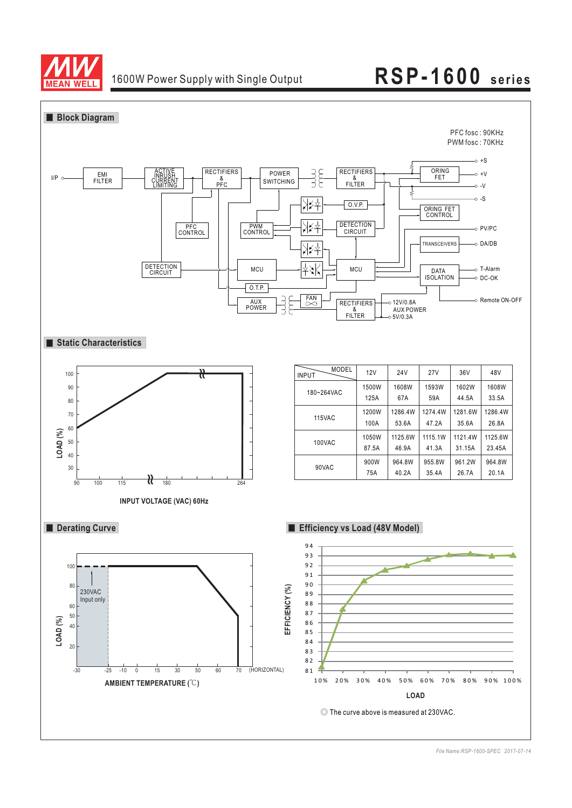

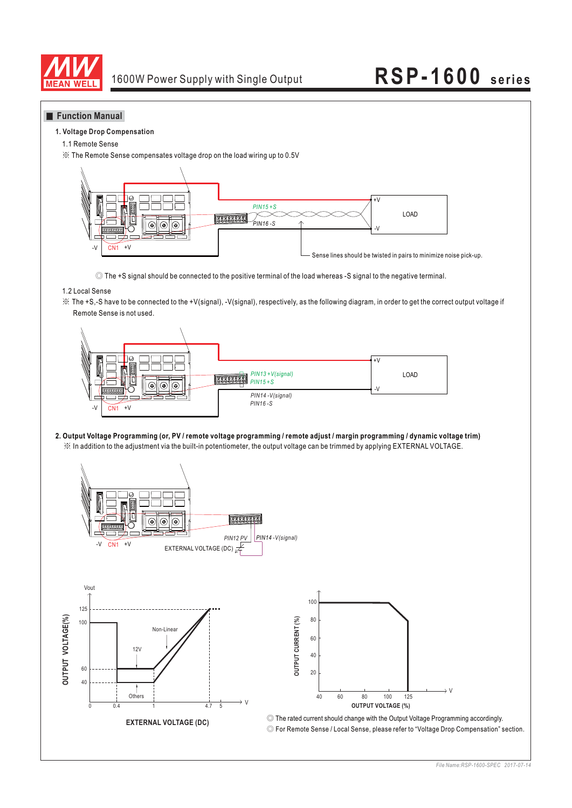

### **Function Manual**

#### **1. Voltage Drop Compensation**

1.1 Remote Sense

※ The Remote Sense compensates voltage drop on the load wiring up to 0.5V



◎ The +S signal should be connected to the positive terminal of the load whereas -S signal to the negative terminal.

### 1.2 Local Sense

※ The +S,-S have to be connected to the +V(signal), -V(signal), respectively, as the following diagram, in order to get the correct output voltage if Remote Sense is not used.



※ In addition to the adjustment via the built-in potentiometer, the output voltage can be trimmed by applying EXTERNAL VOLTAGE. **2. Output Voltage Programming (or, PV / remote voltage programming / remote adjust / margin programming / dynamic voltage trim)**

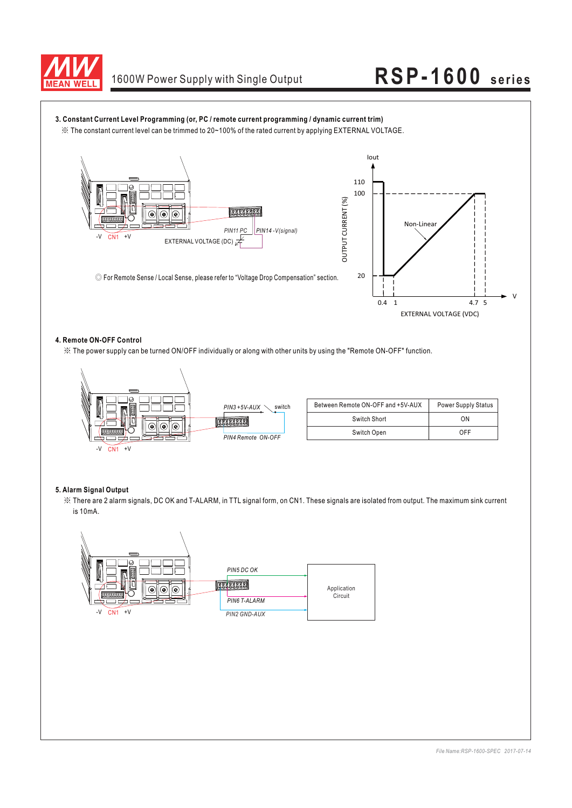



### **4. Remote ON-OFF Control**

※ The power supply can be turned ON/OFF individually or along with other units by using the "Remote ON-OFF" function.



| Between Remote ON-OFF and +5V-AUX | <b>Power Supply Status</b> |
|-----------------------------------|----------------------------|
| Switch Short                      | ΩN                         |
| Switch Open                       | NFF                        |

### **5. Alarm Signal Output**

※ There are 2 alarm signals, DC OK and T-ALARM, in TTL signal form, on CN1. These signals are isolated from output. The maximum sink current is 10mA.

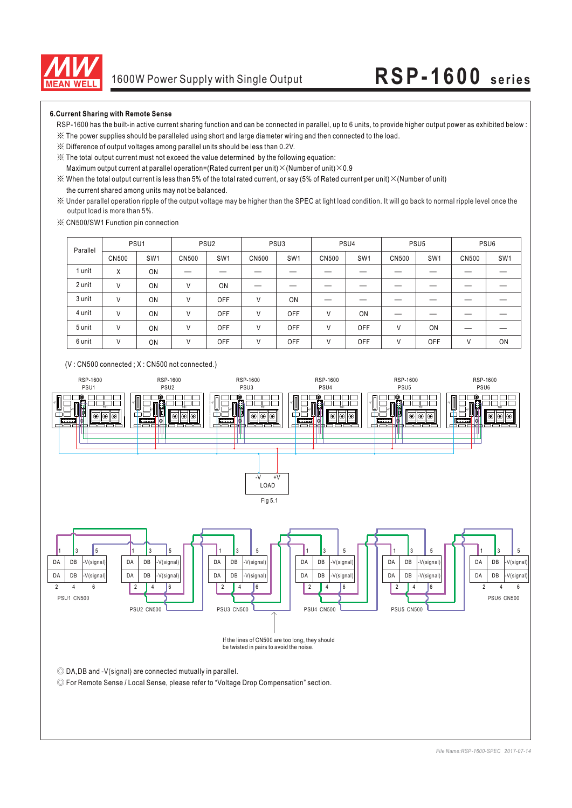

### **6.Current Sharing with Remote Sense**

- RSP-1600 has the built-in active current sharing function and can be connected in parallel, up to 6 units, to provide higher output power as exhibited below :
- ※ The power supplies should be paralleled using short and large diameter wiring and then connected to the load.
- ※ Difference of output voltages among parallel units should be less than 0.2V.
- ※ The total output current must not exceed the value determined by the following equation:
- Maximum output current at parallel operation=(Rated current per unit) $\times$ (Number of unit) $\times$ 0.9
- the current shared among units may not be balanced.  $\%$  When the total output current is less than 5% of the total rated current, or say (5% of Rated current per unit)  $\times$  (Number of unit)
- ※ Under parallel operation ripple of the output voltage may be higher than the SPEC at light load condition. It will go back to normal ripple level once the output load is more than 5%.
- ※ CN500/SW1 Function pin connection

| Parallel |              | PSU <sub>1</sub> | PSU <sub>2</sub> |                 | PSU <sub>3</sub> |                 | PSU4  |                 | PSU <sub>5</sub> |                 | PSU <sub>6</sub> |                 |
|----------|--------------|------------------|------------------|-----------------|------------------|-----------------|-------|-----------------|------------------|-----------------|------------------|-----------------|
|          | <b>CN500</b> | SW <sub>1</sub>  | <b>CN500</b>     | SW <sub>1</sub> | CN500            | SW <sub>1</sub> | CN500 | SW <sub>1</sub> | CN500            | SW <sub>1</sub> | CN500            | SW <sub>1</sub> |
| 1 unit   | X            | ON               |                  |                 |                  |                 |       |                 |                  |                 |                  |                 |
| 2 unit   | ٧            | ON               | V                | ON              |                  |                 |       |                 |                  |                 |                  |                 |
| 3 unit   | ν            | ON               |                  | OFF             | V                | ON              |       |                 |                  |                 |                  |                 |
| 4 unit   | V            | ON               |                  | OFF             | V                | <b>OFF</b>      | V     | ON              |                  |                 |                  |                 |
| 5 unit   | V            | ON               | V                | OFF             | V                | <b>OFF</b>      | V     | OFF             | ٧                | ON              |                  |                 |
| 6 unit   | ٧            | ON               | V                | OFF             | V                | OFF             | V     | OFF             | ٧                | OFF             | $\mathcal{U}$    | ON              |



### (V : CN500 connected ; X : CN500 not connected.)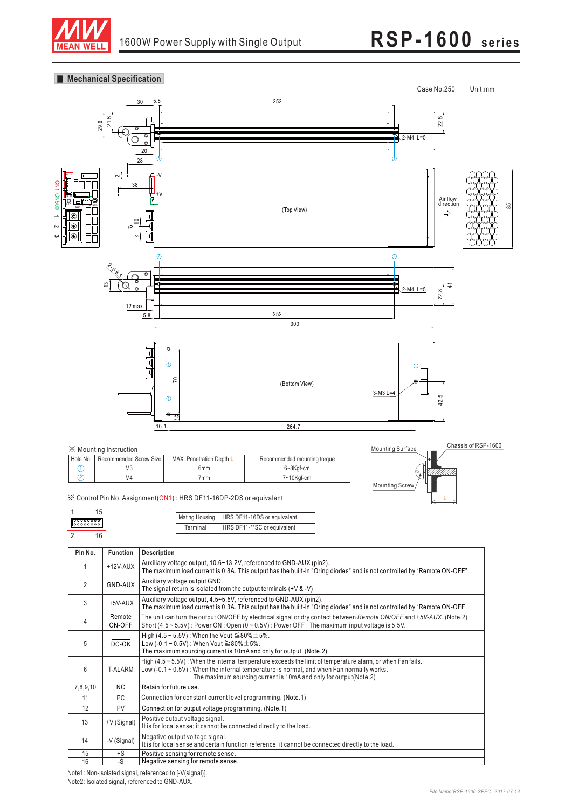